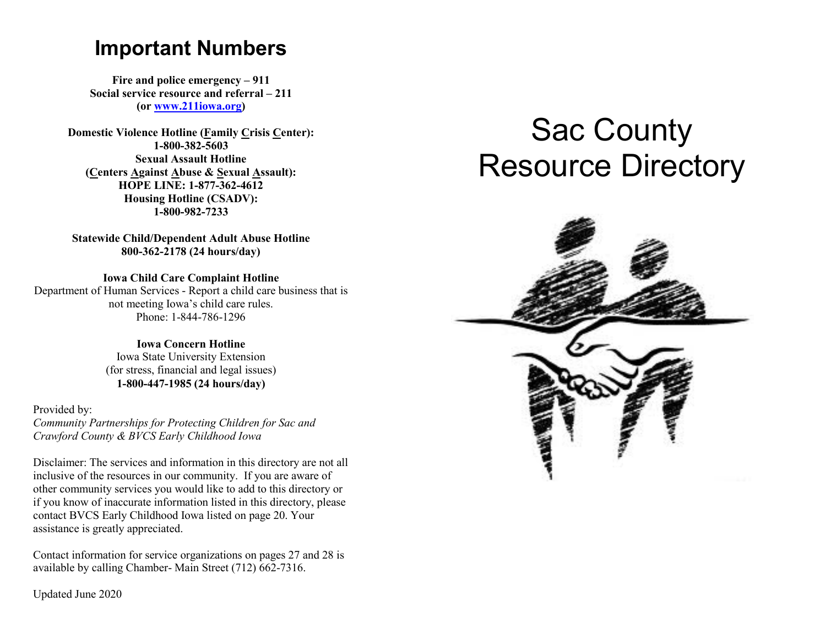## **Important Numbers**

**Fire and police emergency – 911 Social service resource and referral – 211 (or www.211iowa.org)** 

**Domestic Violence Hotline (Family Crisis Center): 1-800-382-5603 Sexual Assault Hotline (Centers Against Abuse & Sexual Assault): HOPE LINE: 1-877-362-4612 Housing Hotline (CSADV): 1-800-982-7233** 

**Statewide Child/Dependent Adult Abuse Hotline 800-362-2178 (24 hours/day)**

**Iowa Child Care Complaint Hotline** Department of Human Services - Report a child care business that is not meeting Iowa's child care rules. Phone: 1-844-786-1296

> **Iowa Concern Hotline**  Iowa State University Extension (for stress, financial and legal issues) **1-800-447-1985 (24 hours/day)**

Community Partnerships for Protecting Children for Sac and *Crawford County & BVCS Early Childhood Iowa* Provided by:

Disclaimer: The services and information in this directory are not all inclusive of the resources in our community. If you are aware of other community services you would like to add to this directory or if you know of inaccurate information listed in this directory, please contact BVCS Early Childhood Iowa listed on page 20. Your assistance is greatly appreciated.

Contact information for service organizations on pages 27 and 28 is available by calling Chamber- Main Street (712) 662-7316.

Updated June 2020

# Sac County Resource Directory

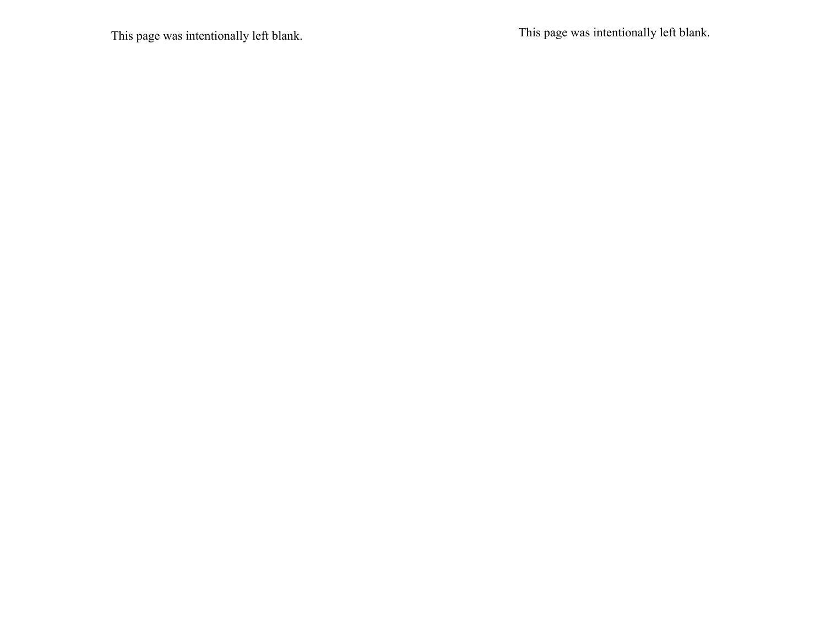This page was intentionally left blank. This page was intentionally left blank.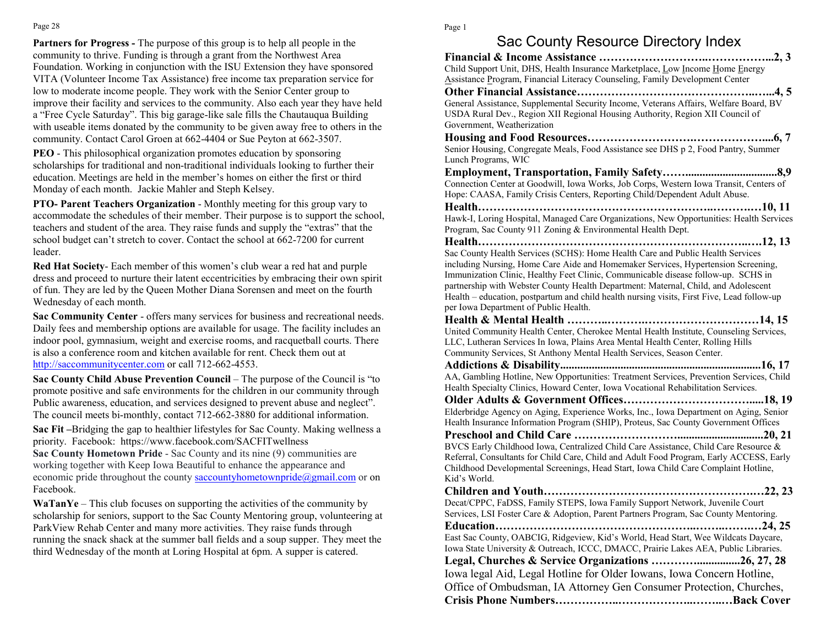#### Page 28 Page 1 Page 1 Page 1 Page 1 Page 1 Page 1 Page 1 Page 1 Page 1 Page 1 Page 1 Page 1 Page 1 Page 1 Page 1

**Partners for Progress -** The purpose of this group is to help all people in the community to thrive. Funding is through a grant from the Northwest Area Foundation. Working in conjunction with the ISU Extension they have sponsored VITA (Volunteer Income Tax Assistance) free income tax preparation service for low to moderate income people. They work with the Senior Center group to improve their facility and services to the community. Also each year they have held a "Free Cycle Saturday". This big garage-like sale fills the Chautauqua Building with useable items donated by the community to be given away free to others in the community. Contact Carol Groen at 662-4404 or Sue Peyton at 662-3507.

**PEO** - This philosophical organization promotes education by sponsoring scholarships for traditional and non-traditional individuals looking to further their education. Meetings are held in the member's homes on either the first or third Monday of each month. Jackie Mahler and Steph Kelsey.

**PTO- Parent Teachers Organization** - Monthly meeting for this group vary to accommodate the schedules of their member. Their purpose is to support the school, teachers and student of the area. They raise funds and supply the "extras" that the school budget can't stretch to cover. Contact the school at 662-7200 for current leader.

**Red Hat Society**- Each member of this women's club wear a red hat and purple dress and proceed to nurture their latent eccentricities by embracing their own spirit of fun. They are led by the Queen Mother Diana Sorensen and meet on the fourth Wednesday of each month.

**Sac Community Center** - offers many services for business and recreational needs. Daily fees and membership options are available for usage. The facility includes an indoor pool, gymnasium, weight and exercise rooms, and racquetball courts. There is also a conference room and kitchen available for rent. Check them out at http://saccommunitycenter.com or call 712-662-4553.

**Sac County Child Abuse Prevention Council** – The purpose of the Council is "to promote positive and safe environments for the children in our community through Public awareness, education, and services designed to prevent abuse and neglect". The council meets bi-monthly, contact 712-662-3880 for additional information.

**Sac Fit –**Bridging the gap to healthier lifestyles for Sac County. Making wellness a priority. Facebook: https://www.facebook.com/SACFITwellness

 **Sac County Hometown Pride** - Sac County and its nine (9) communities are working together with Keep Iowa Beautiful to enhance the appearance and economic pride throughout the county **saccountyhometownpride@gmail.com** or on Facebook.

**WaTanYe** – This club focuses on supporting the activities of the community by scholarship for seniors, support to the Sac County Mentoring group, volunteering at ParkView Rehab Center and many more activities. They raise funds through running the snack shack at the summer ball fields and a soup supper. They meet the third Wednesday of the month at Loring Hospital at 6pm. A supper is catered.

#### Sac County Resource Directory Index

| <b>Sup Source Integrated Billboroi</b> ly indox                                                                                                                                                                                                                                                                                                                                                                                                                                       |
|---------------------------------------------------------------------------------------------------------------------------------------------------------------------------------------------------------------------------------------------------------------------------------------------------------------------------------------------------------------------------------------------------------------------------------------------------------------------------------------|
|                                                                                                                                                                                                                                                                                                                                                                                                                                                                                       |
| Child Support Unit, DHS, Health Insurance Marketplace, Low Income Home Energy                                                                                                                                                                                                                                                                                                                                                                                                         |
| Assistance Program, Financial Literacy Counseling, Family Development Center                                                                                                                                                                                                                                                                                                                                                                                                          |
| General Assistance, Supplemental Security Income, Veterans Affairs, Welfare Board, BV<br>USDA Rural Dev., Region XII Regional Housing Authority, Region XII Council of<br>Government, Weatherization                                                                                                                                                                                                                                                                                  |
|                                                                                                                                                                                                                                                                                                                                                                                                                                                                                       |
| Senior Housing, Congregate Meals, Food Assistance see DHS p 2, Food Pantry, Summer<br>Lunch Programs, WIC                                                                                                                                                                                                                                                                                                                                                                             |
|                                                                                                                                                                                                                                                                                                                                                                                                                                                                                       |
| Connection Center at Goodwill, Iowa Works, Job Corps, Western Iowa Transit, Centers of<br>Hope: CAASA, Family Crisis Centers, Reporting Child/Dependent Adult Abuse.                                                                                                                                                                                                                                                                                                                  |
|                                                                                                                                                                                                                                                                                                                                                                                                                                                                                       |
| Hawk-I, Loring Hospital, Managed Care Organizations, New Opportunities: Health Services<br>Program, Sac County 911 Zoning & Environmental Health Dept.                                                                                                                                                                                                                                                                                                                                |
|                                                                                                                                                                                                                                                                                                                                                                                                                                                                                       |
| Sac County Health Services (SCHS): Home Health Care and Public Health Services<br>including Nursing, Home Care Aide and Homemaker Services, Hypertension Screening,<br>Immunization Clinic, Healthy Feet Clinic, Communicable disease follow-up. SCHS in<br>partnership with Webster County Health Department: Maternal, Child, and Adolescent<br>Health - education, postpartum and child health nursing visits, First Five, Lead follow-up<br>per Iowa Department of Public Health. |
|                                                                                                                                                                                                                                                                                                                                                                                                                                                                                       |
| United Community Health Center, Cherokee Mental Health Institute, Counseling Services,<br>LLC, Lutheran Services In Iowa, Plains Area Mental Health Center, Rolling Hills                                                                                                                                                                                                                                                                                                             |
| Community Services, St Anthony Mental Health Services, Season Center.                                                                                                                                                                                                                                                                                                                                                                                                                 |
| AA, Gambling Hotline, New Opportunities: Treatment Services, Prevention Services, Child<br>Health Specialty Clinics, Howard Center, Iowa Vocational Rehabilitation Services.                                                                                                                                                                                                                                                                                                          |
|                                                                                                                                                                                                                                                                                                                                                                                                                                                                                       |
| Elderbridge Agency on Aging, Experience Works, Inc., Iowa Department on Aging, Senior<br>Health Insurance Information Program (SHIP), Proteus, Sac County Government Offices                                                                                                                                                                                                                                                                                                          |
|                                                                                                                                                                                                                                                                                                                                                                                                                                                                                       |
| BVCS Early Childhood Iowa, Centralized Child Care Assistance, Child Care Resource &<br>Referral, Consultants for Child Care, Child and Adult Food Program, Early ACCESS, Early<br>Childhood Developmental Screenings, Head Start, Iowa Child Care Complaint Hotline,<br>Kid's World.                                                                                                                                                                                                  |
|                                                                                                                                                                                                                                                                                                                                                                                                                                                                                       |
| Decat/CPPC, FaDSS, Family STEPS, Iowa Family Support Network, Juvenile Court<br>Services, LSI Foster Care & Adoption, Parent Partners Program, Sac County Mentoring.                                                                                                                                                                                                                                                                                                                  |
|                                                                                                                                                                                                                                                                                                                                                                                                                                                                                       |
| East Sac County, OABCIG, Ridgeview, Kid's World, Head Start, Wee Wildcats Daycare,<br>Iowa State University & Outreach, ICCC, DMACC, Prairie Lakes AEA, Public Libraries.                                                                                                                                                                                                                                                                                                             |
| Legal, Churches & Service Organizations 26, 27, 28                                                                                                                                                                                                                                                                                                                                                                                                                                    |
| Iowa legal Aid, Legal Hotline for Older Iowans, Iowa Concern Hotline,                                                                                                                                                                                                                                                                                                                                                                                                                 |
| Office of Ombudsman, IA Attorney Gen Consumer Protection, Churches,                                                                                                                                                                                                                                                                                                                                                                                                                   |
|                                                                                                                                                                                                                                                                                                                                                                                                                                                                                       |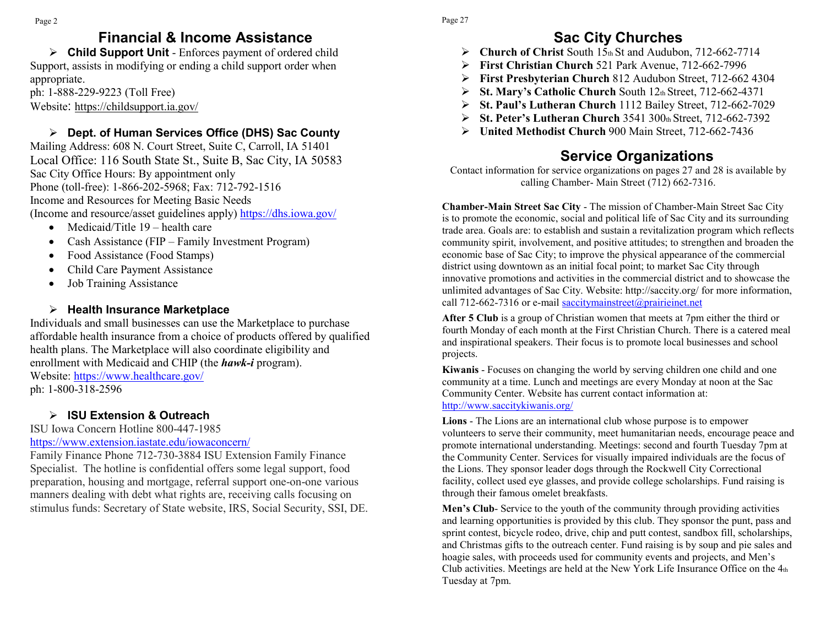#### **Financial & Income Assistance**

 **Child Support Unit** - Enforces payment of ordered child Support, assists in modifying or ending a child support order when appropriate. ph: 1-888-229-9223 (Toll Free)

Website: https://childsupport.ia.gov/

## **Dept. of Human Services Office (DHS) Sac County**

Mailing Address: 608 N. Court Street, Suite C, Carroll, IA 51401 Local Office: 116 South State St., Suite B, Sac City, IA 50583 Sac City Office Hours: By appointment only Phone (toll-free): 1-866-202-5968; Fax: 712-792-1516 Income and Resources for Meeting Basic Needs (Income and resource/asset guidelines apply) https://dhs.iowa.gov/

- Medicaid/Title 19 health care
- $\bullet$ Cash Assistance (FIP – Family Investment Program)
- $\bullet$ Food Assistance (Food Stamps)
- $\bullet$ Child Care Payment Assistance
- $\bullet$ Job Training Assistance

## **Health Insurance Marketplace**

Individuals and small businesses can use the Marketplace to purchase affordable health insurance from a choice of products offered by qualified health plans. The Marketplace will also coordinate eligibility and enrollment with Medicaid and CHIP (the *hawk-i* program). Website: https://www.healthcare.gov/ph: 1-800-318-2596

## **ISU Extension & Outreach**

ISU Iowa Concern Hotline 800-447-1985

https://www.extension.iastate.edu/iowaconcern/

 Family Finance Phone 712-730-3884 ISU Extension Family Finance Specialist. The hotline is confidential offers some legal support, food preparation, housing and mortgage, referral support one-on-one various manners dealing with debt what rights are, receiving calls focusing on stimulus funds: Secretary of State website, IRS, Social Security, SSI, DE.

### **Sac City Churches**

- Einert **Christ** South  $15<sub>th</sub>$  St and Audubon, 712-662-7714
- **First Christian Church** 521 Park Avenue, 712-662-7996
- First Presbyterian Church 812 Audubon Street, 712-662 4304
- St. Mary's Catholic Church South 12th Street, 712-662-4371<br>
St. Baul's Lutheran Church 1112 Boilov Street, 712-662-702
- **St. Paul's Lutheran Church 1112 Bailey Street, 712-662-7029**<br>
St. Peter's Lutheran Church 2541, 200, Street, 712, 662, 7202
- **St. Peter's Lutheran Church 3541 300th Street, 712-662-7392<br>
Inited Methodist Church 000 Main Street, 712,662, 7426**
- **United Methodist Church** 900 Main Street, 712-662-7436

### **Service Organizations**

 Contact information for service organizations on pages 27 and 28 is available by calling Chamber- Main Street (712) 662-7316.

**Chamber-Main Street Sac City** - The mission of Chamber-Main Street Sac City is to promote the economic, social and political life of Sac City and its surrounding trade area. Goals are: to establish and sustain a revitalization program which reflects community spirit, involvement, and positive attitudes; to strengthen and broaden the economic base of Sac City; to improve the physical appearance of the commercial district using downtown as an initial focal point; to market Sac City through innovative promotions and activities in the commercial district and to showcase the unlimited advantages of Sac City. Website: http://saccity.org/ for more information, call 712-662-7316 or e-mail saccitymainstreet@prairieinet.net

**After 5 Club** is a group of Christian women that meets at 7pm either the third or fourth Monday of each month at the First Christian Church. There is a catered meal and inspirational speakers. Their focus is to promote local businesses and school projects.

**Kiwanis** - Focuses on changing the world by serving children one child and one community at a time. Lunch and meetings are every Monday at noon at the Sac Community Center. Website has current contact information at: http://www.saccitykiwanis.org/

**Lions** - The Lions are an international club whose purpose is to empower volunteers to serve their community, meet humanitarian needs, encourage peace and promote international understanding. Meetings: second and fourth Tuesday 7pm at the Community Center. Services for visually impaired individuals are the focus of the Lions. They sponsor leader dogs through the Rockwell City Correctional facility, collect used eye glasses, and provide college scholarships. Fund raising is through their famous omelet breakfasts.

**Men's Club**- Service to the youth of the community through providing activities and learning opportunities is provided by this club. They sponsor the punt, pass and sprint contest, bicycle rodeo, drive, chip and putt contest, sandbox fill, scholarships, and Christmas gifts to the outreach center. Fund raising is by soup and pie sales and hoagie sales, with proceeds used for community events and projects, and Men's Club activities. Meetings are held at the New York Life Insurance Office on the 4th Tuesday at 7pm.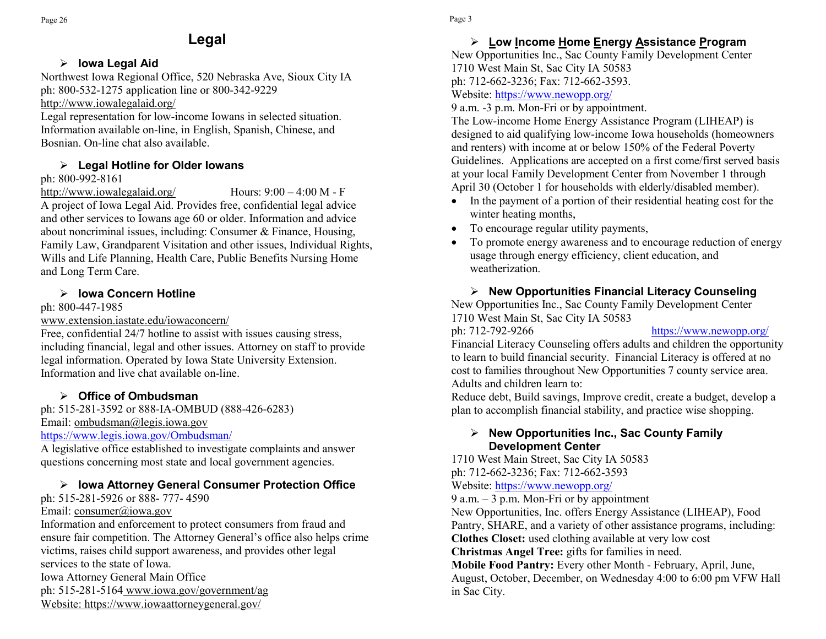#### **Legal**

#### **Iowa Legal Aid**

Northwest Iowa Regional Office, 520 Nebraska Ave, Sioux City IA ph: 800-532-1275 application line or 800-342-9229 http://www.iowalegalaid.org/

 Legal representation for low-income Iowans in selected situation. Information available on-line, in English, Spanish, Chinese, and Bosnian. On-line chat also available.

#### **Legal Hotline for Older Iowans**

#### ph: 800-992-8161

http://www.iowalegalaid.org/ Hours: 9:00 – 4:00 M - F

 A project of Iowa Legal Aid. Provides free, confidential legal advice and other services to Iowans age 60 or older. Information and advice about noncriminal issues, including: Consumer & Finance, Housing, Family Law, Grandparent Visitation and other issues, Individual Rights, Wills and Life Planning, Health Care, Public Benefits Nursing Home and Long Term Care.

### **Iowa Concern Hotline**

ph: 800-447-1985

www.extension.iastate.edu/iowaconcern/

 Free, confidential 24/7 hotline to assist with issues causing stress, including financial, legal and other issues. Attorney on staff to provide legal information. Operated by Iowa State University Extension. Information and live chat available on-line.

### **Office of Ombudsman**

ph: 515-281-3592 or 888-IA-OMBUD (888-426-6283) Email: ombudsman@legis.iowa.gov https://www.legis.iowa.gov/Ombudsman/

 A legislative office established to investigate complaints and answer questions concerning most state and local government agencies.

### **Iowa Attorney General Consumer Protection Office**

ph: 515-281-5926 or 888- 777- 4590

#### Email: consumer@iowa.gov

 Information and enforcement to protect consumers from fraud and ensure fair competition. The Attorney General's office also helps crime victims, raises child support awareness, and provides other legal services to the state of Iowa. Iowa Attorney General Main Office ph: 515-281-5164 www.iowa.gov/government/ag Website: https://www.iowaattorneygeneral.gov/

#### **Low Income Home Energy Assistance Program**

 New Opportunities Inc., Sac County Family Development Center 1710 West Main St, Sac City IA 50583 ph: 712-662-3236; Fax: 712-662-3593. Website: https://www.newopp.org/

9 a.m. -3 p.m. Mon-Fri or by appointment.

 The Low-income Home Energy Assistance Program (LIHEAP) is designed to aid qualifying low-income Iowa households (homeowners and renters) with income at or below 150% of the Federal Poverty Guidelines. Applications are accepted on a first come/first served basis at your local Family Development Center from November 1 through April 30 (October 1 for households with elderly/disabled member).

- In the payment of a portion of their residential heating cost for the winter heating months,
- To encourage regular utility payments,
- $\bullet$  To promote energy awareness and to encourage reduction of energy usage through energy efficiency, client education, and weatherization.

### **New Opportunities Financial Literacy Counseling**

New Opportunities Inc., Sac County Family Development Center 1710 West Main St, Sac City IA 50583

#### ph: 712-792-9266 https://www.newopp.org/

 Financial Literacy Counseling offers adults and children the opportunity to learn to build financial security. Financial Literacy is offered at no cost to families throughout New Opportunities 7 county service area. Adults and children learn to:

 Reduce debt, Build savings, Improve credit, create a budget, develop a plan to accomplish financial stability, and practice wise shopping.

#### **New Opportunities Inc., Sac County Family Development Center**

 1710 West Main Street, Sac City IA 50583 ph: 712-662-3236; Fax: 712-662-3593 Website: https://www.newopp.org/

9 a.m. – 3 p.m. Mon-Fri or by appointment

 New Opportunities, Inc. offers Energy Assistance (LIHEAP), Food Pantry, SHARE, and a variety of other assistance programs, including: **Clothes Closet:** used clothing available at very low cost

**Christmas Angel Tree:** gifts for families in need.

 **Mobile Food Pantry:** Every other Month - February, April, June, August, October, December, on Wednesday 4:00 to 6:00 pm VFW Hall in Sac City.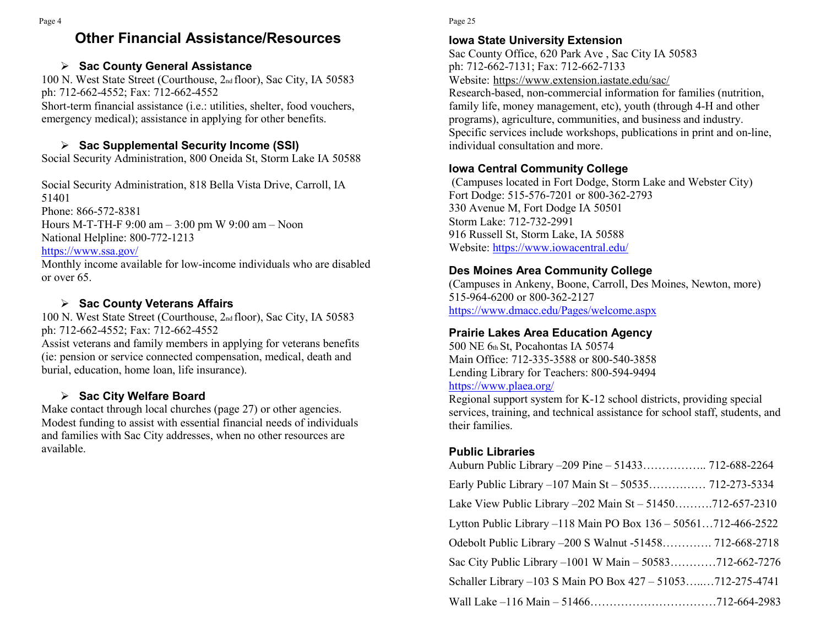#### **Other Financial Assistance/Resources**

### **Sac County General Assistance**

100 N. West State Street (Courthouse, 2nd floor), Sac City, IA 50583 ph: 712-662-4552; Fax: 712-662-4552

 Short-term financial assistance (i.e.: utilities, shelter, food vouchers, emergency medical); assistance in applying for other benefits.

### **Sac Supplemental Security Income (SSI)**

Social Security Administration, 800 Oneida St, Storm Lake IA 50588

Social Security Administration, 818 Bella Vista Drive, Carroll, IA 51401 Phone: 866-572-8381

 Hours M-T-TH-F 9:00 am – 3:00 pm W 9:00 am – Noon National Helpline: 800-772-1213

#### https://www.ssa.gov/

 Monthly income available for low-income individuals who are disabled or over 65.

### **Sac County Veterans Affairs**

100 N. West State Street (Courthouse, 2nd floor), Sac City, IA 50583 ph: 712-662-4552; Fax: 712-662-4552

 Assist veterans and family members in applying for veterans benefits (ie: pension or service connected compensation, medical, death and burial, education, home loan, life insurance).

### **Sac City Welfare Board**

Make contact through local churches (page 27) or other agencies. Modest funding to assist with essential financial needs of individuals and families with Sac City addresses, when no other resources are available.

Page 4 Page 25

#### **Iowa State University Extension**

 Sac County Office, 620 Park Ave , Sac City IA 50583ph: 712-662-7131; Fax: 712-662-7133 Website: https://www.extension.iastate.edu/sac/ Research-based, non-commercial information for families (nutrition, family life, money management, etc), youth (through 4-H and other programs), agriculture, communities, and business and industry.

 Specific services include workshops, publications in print and on-line, individual consultation and more.

#### **Iowa Central Community College**

 (Campuses located in Fort Dodge, Storm Lake and Webster City) Fort Dodge: 515-576-7201 or 800-362-2793 330 Avenue M, Fort Dodge IA 50501 Storm Lake: 712-732-2991 916 Russell St, Storm Lake, IA 50588 Website: https://www.iowacentral.edu/

#### **Des Moines Area Community College**

 (Campuses in Ankeny, Boone, Carroll, Des Moines, Newton, more) 515-964-6200 or 800-362-2127 https://www.dmacc.edu/Pages/welcome.aspx

#### **Prairie Lakes Area Education Agency**

500 NE 6th St, Pocahontas IA 50574 Main Office: 712-335-3588 or 800-540-3858 Lending Library for Teachers: 800-594-9494 https://www.plaea.org/

 Regional support system for K-12 school districts, providing special services, training, and technical assistance for school staff, students, and their families.

#### **Public Libraries**

| Auburn Public Library -209 Pine - 51433 712-688-2264           |
|----------------------------------------------------------------|
| Early Public Library -107 Main St - 50535 712-273-5334         |
| Lake View Public Library -202 Main St - 51450712-657-2310      |
| Lytton Public Library -118 Main PO Box 136 - 50561712-466-2522 |
| Odebolt Public Library -200 S Walnut -51458 712-668-2718       |
| Sac City Public Library -1001 W Main - 50583712-662-7276       |
| Schaller Library -103 S Main PO Box 427 - 51053712-275-4741    |
|                                                                |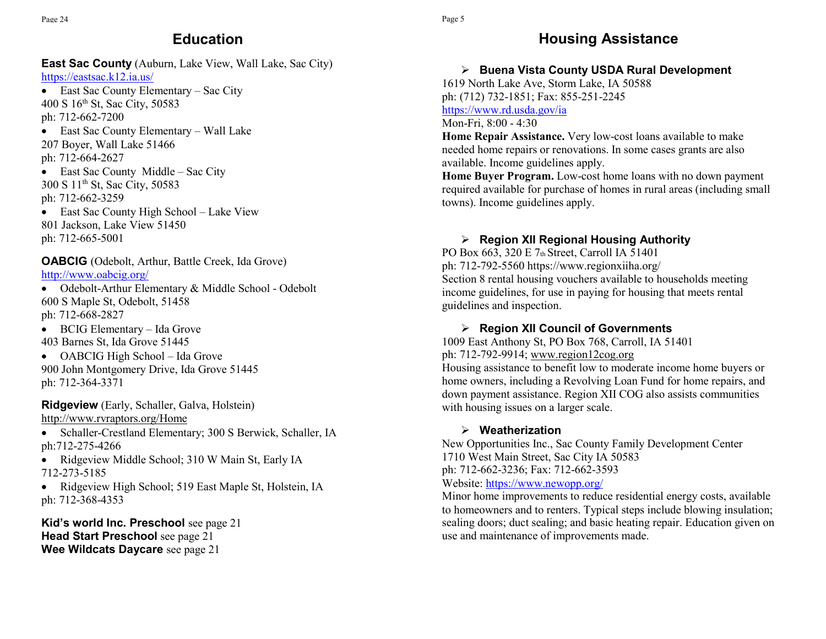#### **Education**

#### **East Sac County** (Auburn, Lake View, Wall Lake, Sac City) https://eastsac.k12.ia.us/

East Sac County Elementary – Sac City 400 S 16th St, Sac City, 50583 ph: 712-662-7200 East Sac County Elementary – Wall Lake 207 Boyer, Wall Lake 51466 ph: 712-664-2627

• East Sac County Middle – Sac City 300 S 11th St, Sac City, 50583 ph: 712-662-3259

• East Sac County High School – Lake View 801 Jackson, Lake View 51450 ph: 712-665-5001

#### **OABCIG** (Odebolt, Arthur, Battle Creek, Ida Grove) http://www.oabcig.org/

 Odebolt-Arthur Elementary & Middle School - Odebolt 600 S Maple St, Odebolt, 51458 ph: 712-668-2827

- BCIG Elementary Ida Grove 403 Barnes St, Ida Grove 51445
- OABCIG High School Ida Grove 900 John Montgomery Drive, Ida Grove 51445 ph: 712-364-3371

#### **Ridgeview** (Early, Schaller, Galva, Holstein) http://www.rvraptors.org/Home

- Schaller-Crestland Elementary; 300 S Berwick, Schaller, IA ph:712-275-4266
- Ridgeview Middle School; 310 W Main St, Early IA 712-273-5185
- Ridgeview High School; 519 East Maple St, Holstein, IA ph: 712-368-4353

**Kid's world Inc. Preschool** see page 21 **Head Start Preschool** see page 21 **Wee Wildcats Daycare** see page 21

#### **Housing Assistance**

### **Buena Vista County USDA Rural Development**

1619 North Lake Ave, Storm Lake, IA 50588 ph: (712) 732-1851; Fax: 855-251-2245 https://www.rd.usda.gov/iaMon-Fri, 8:00 - 4:30

 **Home Repair Assistance.** Very low-cost loans available to make needed home repairs or renovations. In some cases grants are also available. Income guidelines apply.

 **Home Buyer Program.** Low-cost home loans with no down payment required available for purchase of homes in rural areas (including small towns). Income guidelines apply.

### **▶ Region XII Regional Housing Authority**<br>Pox 663, 320 E.7 , Street, Cerrell JA 51401

PO Box 663, 320 E 7th Street, Carroll IA 51401 ph: 712-792-5560 https://www.regionxiiha.org/ Section 8 rental housing vouchers available to households meeting income guidelines, for use in paying for housing that meets rental guidelines and inspection.

### **Region XII Council of Governments**

1009 East Anthony St, PO Box 768, Carroll, IA 51401ph: 712-792-9914; www.region12cog.org

 Housing assistance to benefit low to moderate income home buyers or home owners, including a Revolving Loan Fund for home repairs, and down payment assistance. Region XII COG also assists communities with housing issues on a larger scale.

### **Weatherization**

New Opportunities Inc., Sac County Family Development Center 1710 West Main Street, Sac City IA 50583 ph: 712-662-3236; Fax: 712-662-3593 Website: https://www.newopp.org/

 Minor home improvements to reduce residential energy costs, available to homeowners and to renters. Typical steps include blowing insulation; sealing doors; duct sealing; and basic heating repair. Education given on use and maintenance of improvements made.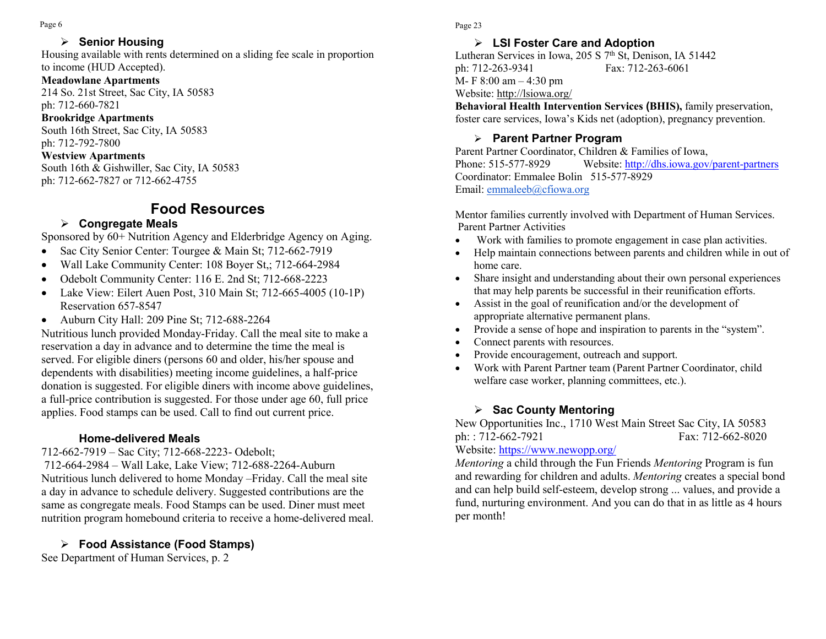#### **Senior Housing**

Housing available with rents determined on a sliding fee scale in proportion to income (HUD Accepted).

**Meadowlane Apartments**  214 So. 21st Street, Sac City, IA 50583 ph: 712-660-7821

**Brookridge Apartments**  South 16th Street, Sac City, IA 50583 ph: 712-792-7800

 **Westview Apartments**  South 16th & Gishwiller, Sac City, IA 50583 ph: 712-662-7827 or 712-662-4755

#### **Food Resources**

### **Congregate Meals**

Sponsored by 60+ Nutrition Agency and Elderbridge Agency on Aging.

- $\bullet$ Sac City Senior Center: Tourgee & Main St; 712-662-7919
- $\bullet$ Wall Lake Community Center: 108 Boyer St,; 712-664-2984
- $\bullet$ Odebolt Community Center: 116 E. 2nd St; 712-668-2223
- $\bullet$  Lake View: Eilert Auen Post, 310 Main St; 712-665-4005 (10-1P) Reservation 657-8547
- Auburn City Hall: 209 Pine St; 712-688-2264

Nutritious lunch provided Monday-Friday. Call the meal site to make a reservation a day in advance and to determine the time the meal is served. For eligible diners (persons 60 and older, his/her spouse and dependents with disabilities) meeting income guidelines, a half-price donation is suggested. For eligible diners with income above guidelines, a full-price contribution is suggested. For those under age 60, full price applies. Food stamps can be used. Call to find out current price.

#### **Home-delivered Meals**

 712-662-7919 – Sac City; 712-668-2223- Odebolt; 712-664-2984 – Wall Lake, Lake View; 712-688-2264-Auburn Nutritious lunch delivered to home Monday –Friday. Call the meal site a day in advance to schedule delivery. Suggested contributions are the same as congregate meals. Food Stamps can be used. Diner must meet nutrition program homebound criteria to receive a home-delivered meal.

### **Food Assistance (Food Stamps)**

See Department of Human Services, p. 2

Page 6 Page 23

## **LSI Foster Care and Adoption**

Lutheran Services in Iowa, 205 S  $7<sup>th</sup>$  St, Denison, IA 51442 ph: 712-263-9341 Fax: 712-263-6061 M- F 8:00 am – 4:30 pm Website: http://lsiowa.org/

 **Behavioral Health Intervention Services (BHIS),** family preservation, foster care services, Iowa's Kids net (adoption), pregnancy prevention.

### **Parent Partner Program**

Parent Partner Coordinator, Children & Families of Iowa, Phone: 515-577-8929 Website: http://dhs.iowa.gov/parent-partners Coordinator: Emmalee Bolin 515-577-8929 Email: emmaleeb@cfiowa.org

Mentor families currently involved with Department of Human Services. Parent Partner Activities

- Work with families to promote engagement in case plan activities.
- Help maintain connections between parents and children while in out of  $\bullet$ home care.
- Share insight and understanding about their own personal experiences that may help parents be successful in their reunification efforts.
- Assist in the goal of reunification and/or the development of appropriate alternative permanent plans.
- Provide a sense of hope and inspiration to parents in the "system".
- e Connect parents with resources.
- $\bullet$ Provide encouragement, outreach and support.
- Work with Parent Partner team (Parent Partner Coordinator, child welfare case worker, planning committees, etc.).

## **Sac County Mentoring**

New Opportunities Inc., 1710 West Main Street Sac City, IA 50583 ph: : 712-662-7921 Fax: 712-662-8020

#### Website: https://www.newopp.org/

 *Mentoring* a child through the Fun Friends *Mentoring* Program is fun and rewarding for children and adults. *Mentoring* creates a special bond and can help build self-esteem, develop strong ... values, and provide a fund, nurturing environment. And you can do that in as little as 4 hours per month!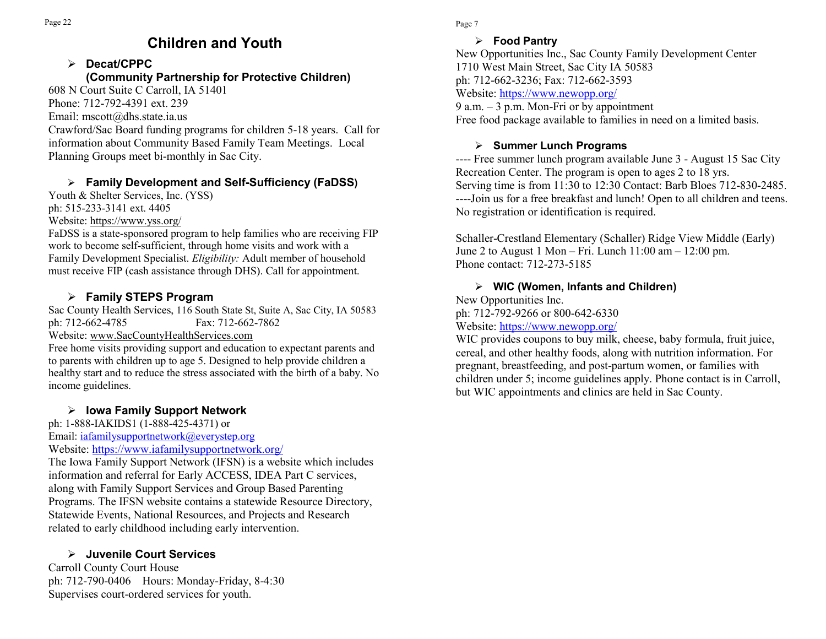#### **Children and Youth**

#### $\blacktriangleright$ **Decat/CPPC**

#### **(Community Partnership for Protective Children)**

608 N Court Suite C Carroll, IA 51401

Phone: 712-792-4391 ext. 239

#### Email: mscott@dhs.state.ia.us

 Crawford/Sac Board funding programs for children 5-18 years. Call for information about Community Based Family Team Meetings. Local<br>Planning Crowns most bi monthly in Soo City. Planning Groups meet bi-monthly in Sac City.

#### **Family Development and Self-Sufficiency (FaDSS)**

Youth & Shelter Services, Inc. (YSS) ph: 515-233-3141 ext. 4405

#### Website: https://www.yss.org/

 FaDSS is a state-sponsored program to help families who are receiving FIP work to become self-sufficient, through home visits and work with a Family Development Specialist. *Eligibility:* Adult member of household must receive FIP (cash assistance through DHS). Call for appointment.

### **Family STEPS Program**

 Sac County Health Services, 116 South State St, Suite A, Sac City, IA 50583 ph: 712-662-4785 Fax: 712-662-7862 Website: www.SacCountyHealthServices.com

 Free home visits providing support and education to expectant parents and to parents with children up to age 5. Designed to help provide children a healthy start and to reduce the stress associated with the birth of a baby. No income guidelines.

### **Iowa Family Support Network**

ph: 1-888-IAKIDS1 (1-888-425-4371) or Email: <u>iafamilysupportnetwork@everystep.org</u>

Website: https://www.iafamilysupportnetwork.org/ The Iowa Family Support Network (IFSN) is a website which includes information and referral for Early ACCESS, IDEA Part C services, along with Family Support Services and Group Based Parenting Programs. The IFSN website contains a statewide Resource Directory, Statewide Events, National Resources, and Projects and Research related to early childhood including early intervention.

## **Juvenile Court Services**

Carroll County Court House ph: 712-790-0406 Hours: Monday-Friday, 8-4:30 Supervises court-ordered services for youth.

Page 22 Page 7 Page 7 Page 7 Page 7 Page 7 Page 7 Page 7 Page 7 Page 7 Page 7 Page 7 Page 7 Page 7 Page 7 Page 7 Page 7 Page 7 Page 7 Page 7 Page 7 Page 7 Page 7 Page 7 Page 7 Page 7 Page 7 Page 7 Page 7 Page 7 Page 7 Page

### **Food Pantry**

New Opportunities Inc., Sac County Family Development Center 1710 West Main Street, Sac City IA 50583 ph: 712-662-3236; Fax: 712-662-3593 Website: https://www.newopp.org/ 9 a.m. – 3 p.m. Mon-Fri or by appointment Free food package available to families in need on a limited basis.

### **Summer Lunch Programs**

---- Free summer lunch program available June 3 - August 15 Sac City Recreation Center. The program is open to ages 2 to 18 yrs. Serving time is from 11:30 to 12:30 Contact: Barb Bloes 712-830-2485. ----Join us for a free breakfast and lunch! Open to all children and teens. No registration or identification is required.

Schaller-Crestland Elementary (Schaller) Ridge View Middle (Early) June 2 to August 1 Mon – Fri. Lunch 11:00 am – 12:00 pm. Phone contact: 712-273-5185

### **WIC (Women, Infants and Children)**

New Opportunities Inc. ph: 712-792-9266 or 800-642-6330

Website: https://www.newopp.org/

 WIC provides coupons to buy milk, cheese, baby formula, fruit juice, cereal, and other healthy foods, along with nutrition information. For pregnant, breastfeeding, and post-partum women, or families with children under 5; income guidelines apply. Phone contact is in Carroll, but WIC appointments and clinics are held in Sac County.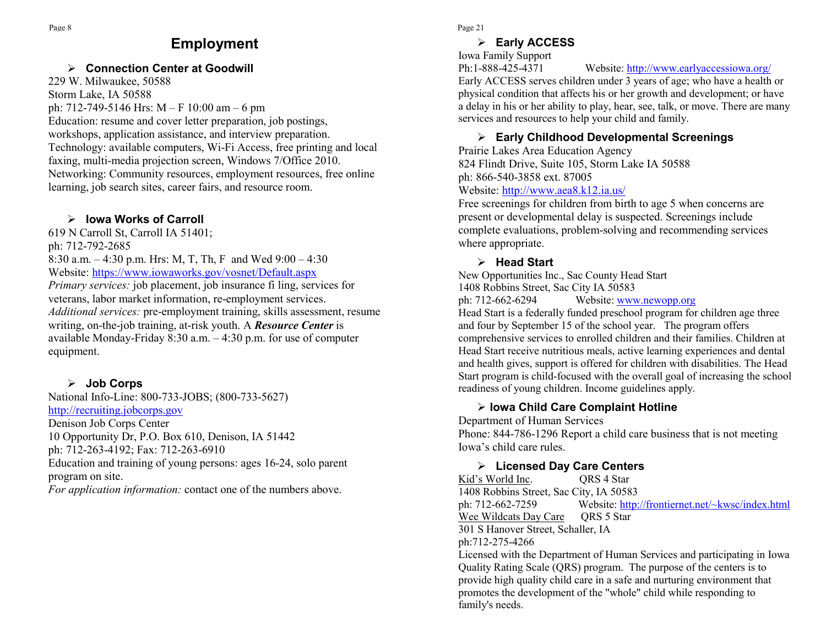#### **Employment**

### **Example Connection Center at Goodwill**<br>W Milweykee 50588

229 W. Milwaukee, 50588

Storm Lake, IA 50588 ph: 712-749-5146 Hrs: M – F 10:00 am – 6 pm

 Education: resume and cover letter preparation, job postings, workshops, application assistance, and interview preparation. Technology: available computers, Wi-Fi Access, free printing and local faxing, multi-media projection screen, Windows 7/Office 2010. Networking: Community resources, employment resources, free online learning, job search sites, career fairs, and resource room.

### **Iowa Works of Carroll > Iowa Works of Carroll > I**

619 N Carroll St, Carroll IA 51401; ph: 712-792-2685 8:30 a.m. – 4:30 p.m. Hrs: M, T, Th, F and Wed 9:00 – 4:30 Website: https://www.iowaworks.gov/vosnet/Default.aspx *Primary services:* job placement, job insurance fi ling, services for veterans, labor market information, re-employment services. *Additional services:* pre-employment training, skills assessment, resume writing, on-the-job training, at-risk youth. A *Resource Center* is available Monday-Friday 8:30 a.m. – 4:30 p.m. for use of computer equipment.

#### **Job Corps**

National Info-Line: 800-733-JOBS; (800-733-5627) http://recruiting.jobcorps.govDenison Job Corps Center 10 Opportunity Dr, P.O. Box 610, Denison, IA 51442 ph: 712-263-4192; Fax: 712-263-6910 Education and training of young persons: ages 16-24, solo parent program on site. *For application information:* contact one of the numbers above.

Page 8 Page 21

### **Early ACCESS**

Iowa Family Support

Ph:1-888-425-4371 Website: http://www.earlyaccessiowa.org/ Early ACCESS serves children under 3 years of age; who have a health or physical condition that affects his or her growth and development; or have a delay in his or her ability to play, hear, see, talk, or move. There are manyservices and resources to help your child and family.

#### **Early Childhood Developmental Screenings**

Prairie Lakes Area Education Agency 824 Flindt Drive, Suite 105, Storm Lake IA 50588 ph: 866-540-3858 ext. 87005 Website: http://www.aea8.k12.ia.us/

 Free screenings for children from birth to age 5 when concerns are present or developmental delay is suspected. Screenings include complete evaluations, problem-solving and recommending services where appropriate.

### **Head Start**

New Opportunities Inc., Sac County Head Start 1408 Robbins Street, Sac City IA 50583 ph: 712-662-6294 Website: www.newopp.org Head Start is a federally funded preschool program for children age three and four by September 15 of the school year. The program offers comprehensive services to enrolled children and their families. Children at Head Start receive nutritious meals, active learning experiences and dental and health gives, support is offered for children with disabilities. The Head Start program is child-focused with the overall goal of increasing the school readiness of young children. Income guidelines apply.

#### **Iowa Child Care Complaint Hotline**

Department of Human Services Phone: 844-786-1296 Report a child care business that is not meeting Iowa's child care rules.

### **Licensed Day Care Centers**

Kid's World Inc. QRS 4 Star 1408 Robbins Street, Sac City, IA 50583 ph: 712-662-7259 Website: http://frontiernet.net/~kwsc/index.html Wee Wildcats Day Care ORS 5 Star 301 S Hanover Street, Schaller, IA ph:712-275-4266

 Licensed with the Department of Human Services and participating in Iowa Quality Rating Scale (QRS) program. The purpose of the centers is to provide high quality child care in a safe and nurturing environment that promotes the development of the "whole" child while responding to family's needs.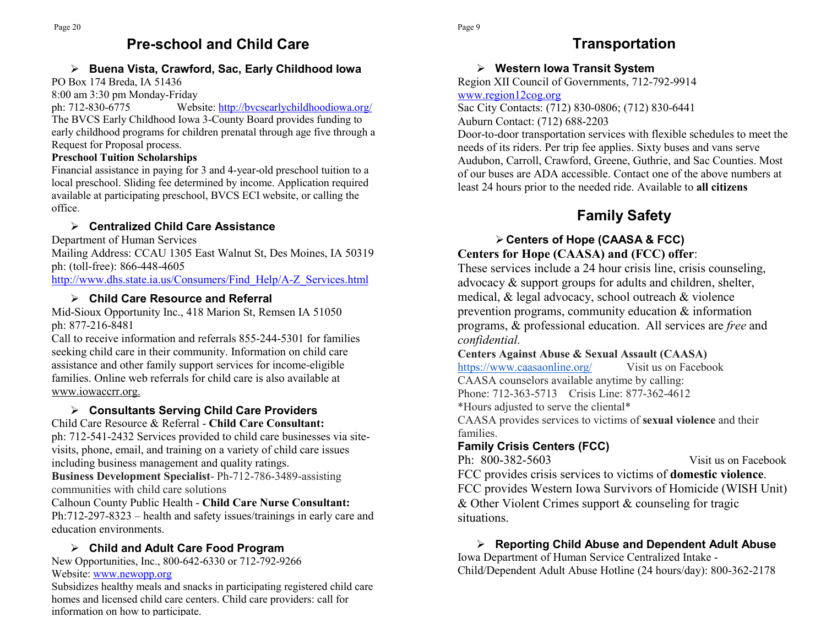#### **Pre-school and Child Care**

### **Buena Vista, Crawford, Sac, Early Childhood Iowa**

PO Box 174 Breda, IA 51436

8:00 am 3:30 pm Monday-Friday

ph: 712-830-6775 Website: http://bvcsearlychildhoodiowa.org/ The BVCS Early Childhood Iowa 3-County Board provides funding to early childhood programs for children prenatal through age five through a Request for Proposal process.

#### **Preschool Tuition Scholarships**

 Financial assistance in paying for 3 and 4-year-old preschool tuition to a local preschool. Sliding fee determined by income. Application required available at participating preschool, BVCS ECI website, or calling the office.

### **Centralized Child Care Assistance**

Department of Human Services

 Mailing Address: CCAU 1305 East Walnut St, Des Moines, IA 50319 ph: (toll-free): 866-448-4605

http://www.dhs.state.ia.us/Consumers/Find\_Help/A-Z\_Services.html

#### **Child Care Resource and Referral**

Mid-Sioux Opportunity Inc., 418 Marion St, Remsen IA 51050 ph: 877-216-8481

 Call to receive information and referrals 855-244-5301 for families seeking child care in their community. Information on child care assistance and other family support services for income-eligible families. Online web referrals for child care is also available at www.iowaccrr.org.

### **Consultants Serving Child Care Providers**

#### Child Care Resource & Referral - **Child Care Consultant:**

 ph: 712-541-2432 Services provided to child care businesses via sitevisits, phone, email, and training on a variety of child care issues including business management and quality ratings.

 **Business Development Specialist**- Ph-712-786-3489-assisting communities with child care solutions

#### Calhoun County Public Health - **Child Care Nurse Consultant:**

 Ph:712-297-8323 – health and safety issues/trainings in early care and education environments.

### **Child and Adult Care Food Program**

New Opportunities, Inc., 800-642-6330 or 712-792-9266 Website: www.newopp.org

 Subsidizes healthy meals and snacks in participating registered child care homes and licensed child care centers. Child care providers: call for information on how to participate.

#### **Transportation**

### **Western Iowa Transit System**

Region XII Council of Governments, 712-792-9914

www.region12cog.org

 Sac City Contacts: (712) 830-0806; (712) 830-6441 Auburn Contact: (712) 688-2203

Door-to-door transportation services with flexible schedules to meet the needs of its riders. Per trip fee applies. Sixty buses and vans serve Audubon, Carroll, Crawford, Greene, Guthrie, and Sac Counties. Most of our buses are ADA accessible. Contact one of the above numbers at least 24 hours prior to the needed ride. Available to **all citizens**

#### **Family Safety**

#### **Centers of Hope (CAASA & FCC) Centers for Hope (CAASA) and (FCC) offer**:

 These services include a 24 hour crisis line, crisis counseling, advocacy & support groups for adults and children, shelter, medical, & legal advocacy, school outreach & violence prevention programs, community education & information programs, & professional education. All services are *free* and *confidential.*

#### **Centers Against Abuse & Sexual Assault (CAASA)**

Visit us on Facebook https://www.caasaonline.org/ CAASA counselors available anytime by calling: Phone: 712-363-5713 Crisis Line: 877-362-4612 \*Hours adjusted to serve the cliental\* CAASA provides services to victims of **sexual violence** and their families.

#### **Family Crisis Centers (FCC)**

Ph: 800-382-5603 Visit us on Facebook

FCC provides crisis services to victims of **domestic violence**. FCC provides Western Iowa Survivors of Homicide (WISH Unit) & Other Violent Crimes support & counseling for tragic situations.

### **Reporting Child Abuse and Dependent Adult Abuse**

Iowa Department of Human Service Centralized Intake - Child/Dependent Adult Abuse Hotline (24 hours/day): 800-362-2178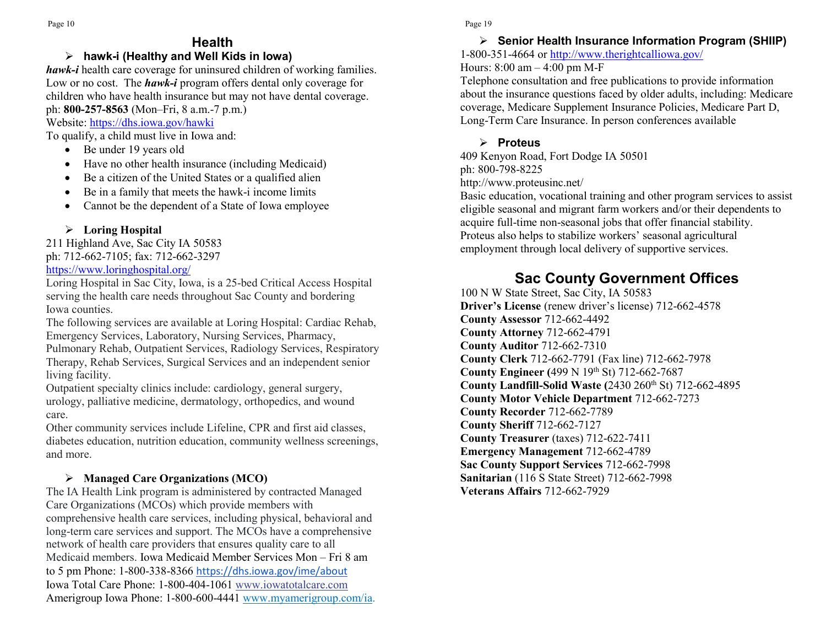#### **Health**

### **hawk-i (Healthy and Well Kids in Iowa)**

*hawk-i* health care coverage for uninsured children of working families. Low or no cost. The *hawk-i* program offers dental only coverage for children who have health insurance but may not have dental coverage. ph: **800-257-8563** (Mon–Fri, 8 a.m.-7 p.m.)

Website: https://dhs.iowa.gov/hawki

To qualify, a child must live in Iowa and:

- Be under 19 years old
- 0 Have no other health insurance (including Medicaid)
- Be a citizen of the United States or a qualified alien
- Be in a family that meets the hawk-i income limits
- e Cannot be the dependent of a State of Iowa employee

### **Loring Hospital**

211 Highland Ave, Sac City IA 50583 ph: 712-662-7105; fax: 712-662-3297 https://www.loringhospital.org/

 Loring Hospital in Sac City, Iowa, is a 25-bed Critical Access Hospital serving the health care needs throughout Sac County and bordering Iowa counties.

 The following services are available at Loring Hospital: Cardiac Rehab, Emergency Services, Laboratory, Nursing Services, Pharmacy, Pulmonary Rehab, Outpatient Services, Radiology Services, Respiratory

Therapy, Rehab Services, Surgical Services and an independent senior living facility.

 Outpatient specialty clinics include: cardiology, general surgery, urology, palliative medicine, dermatology, orthopedics, and wound care.

 Other community services include Lifeline, CPR and first aid classes, diabetes education, nutrition education, community wellness screenings, and more.

### **Managed Care Organizations (MCO)**

The IA Health Link program is administered by contracted Managed Care Organizations (MCOs) which provide members with comprehensive health care services, including physical, behavioral and long-term care services and support. The MCOs have a comprehensive network of health care providers that ensures quality care to all Medicaid members. Iowa Medicaid Member Services Mon – Fri 8 am to 5 pm Phone: 1-800-338-8366 https://dhs.iowa.gov/ime/about Iowa Total Care Phone: 1-800-404-1061 www.iowatotalcare.comAmerigroup Iowa Phone: 1-800-600-4441 www.myamerigroup.com/ia.

Page 10 Page 19

#### **Senior Health Insurance Information Program (SHIIP)** 1-800-351-4664 or http://www.therightcalliowa.gov/

Hours: 8:00 am – 4:00 pm M-F

 Telephone consultation and free publications to provide information about the insurance questions faced by older adults, including: Medicare coverage, Medicare Supplement Insurance Policies, Medicare Part D, Long-Term Care Insurance. In person conferences available

### **Proteus**

409 Kenyon Road, Fort Dodge IA 50501

ph: 800-798-8225 http://www.proteusinc.net/

 Basic education, vocational training and other program services to assist eligible seasonal and migrant farm workers and/or their dependents to acquire full-time non-seasonal jobs that offer financial stability. Proteus also helps to stabilize workers' seasonal agricultural employment through local delivery of supportive services.

#### **Sac County Government Offices**

100 N W State Street, Sac City, IA 50583 **Driver's License** (renew driver's license) 712-662-4578**County Assessor** 712-662-4492 **County Attorney** 712-662-4791 **County Auditor** 712-662-7310 **County Clerk** 712-662-7791 (Fax line) 712-662-7978 **County Engineer (**499 N 19th St) 712-662-7687 **County Landfill-Solid Waste (**2430 260th St) 712-662-4895**County Motor Vehicle Department** 712-662-7273**County Recorder** 712-662-7789**County Sheriff** 712-662-7127 **County Treasurer** (taxes) 712-622-7411 **Emergency Management** 712-662-4789 **Sac County Support Services** 712-662-7998 **Sanitarian** (116 S State Street) 712-662-7998 **Veterans Affairs** 712-662-7929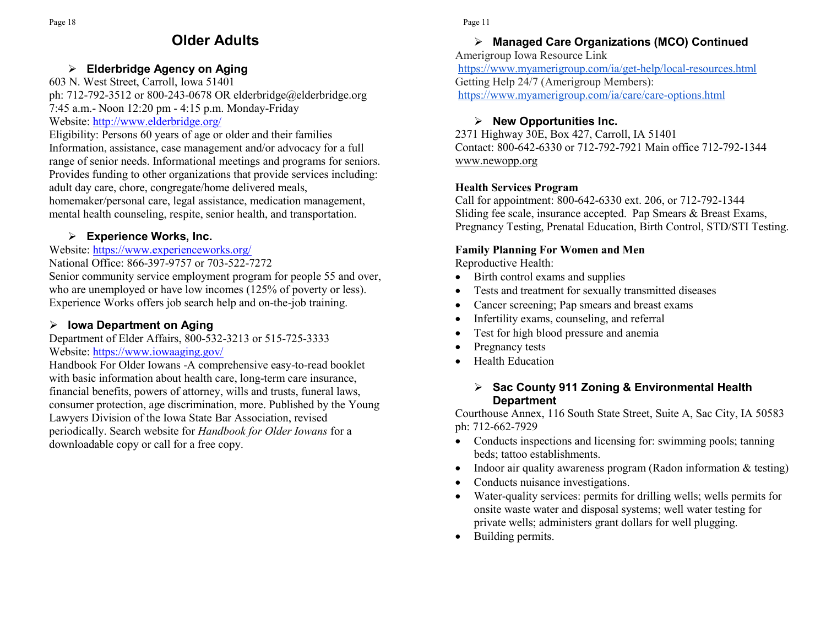#### **Older Adults**

### **Elderbridge Agency on Aging**

603 N. West Street, Carroll, Iowa 51401 ph: 712-792-3512 or 800-243-0678 OR elderbridge@elderbridge.org 7:45 a.m.- Noon 12:20 pm - 4:15 p.m. Monday-Friday Website: http://www.elderbridge.org/

 Eligibility: Persons 60 years of age or older and their families Information, assistance, case management and/or advocacy for a full range of senior needs. Informational meetings and programs for seniors. Provides funding to other organizations that provide services including: adult day care, chore, congregate/home delivered meals, homemaker/personal care, legal assistance, medication management, mental health counseling, respite, senior health, and transportation.

### **Experience Works, Inc.**

Website: https://www.experienceworks.org/

National Office: 866-397-9757 or 703-522-7272

 Senior community service employment program for people 55 and over, who are unemployed or have low incomes (125% of poverty or less). Experience Works offers job search help and on-the-job training.

### **Iowa Department on Aging**

Department of Elder Affairs, 800-532-3213 or 515-725-3333 Website: https://www.iowaaging.gov/

 Handbook For Older Iowans -A comprehensive easy-to-read booklet with basic information about health care, long-term care insurance, financial benefits, powers of attorney, wills and trusts, funeral laws, consumer protection, age discrimination, more. Published by the Young Lawyers Division of the Iowa State Bar Association, revised periodically. Search website for *Handbook for Older Iowans* for a downloadable copy or call for a free copy.

Page 18 Page 11 Page 11 Page 11 Page 11 Page 11 Page 11 Page 11 Page 11 Page 11 Page 11 Page 11 Page 11 Page 11

 **Managed Care Organizations (MCO) Continued** Amerigroup Iowa Resource Link https://www.myamerigroup.com/ia/get-help/local-resources.htmlGetting Help 24/7 (Amerigroup Members): https://www.myamerigroup.com/ia/care/care-options.html

### **New Opportunities Inc.**

2371 Highway 30E, Box 427, Carroll, IA 51401 Contact: 800-642-6330 or 712-792-7921 Main office 712-792-1344 www.newopp.org

#### **Health Services Program**

 Call for appointment: 800-642-6330 ext. 206, or 712-792-1344 Sliding fee scale, insurance accepted. Pap Smears & Breast Exams, Pregnancy Testing, Prenatal Education, Birth Control, STD/STI Testing.

#### **Family Planning For Women and Men**

Reproductive Health:

- Birth control exams and supplies
- e Tests and treatment for sexually transmitted diseases
- $\bullet$ Cancer screening; Pap smears and breast exams
- $\bullet$ Infertility exams, counseling, and referral
- 0 Test for high blood pressure and anemia
- $\bullet$ Pregnancy tests
- $\bullet$ Health Education

#### **Sac County 911 Zoning & Environmental Health Department**

 Courthouse Annex, 116 South State Street, Suite A, Sac City, IA 50583 ph: 712-662-7929

- Conducts inspections and licensing for: swimming pools; tanning beds; tattoo establishments.
- Indoor air quality awareness program (Radon information & testing)
- $\bullet$ Conducts nuisance investigations.
- Water-quality services: permits for drilling wells; wells permits for onsite waste water and disposal systems; well water testing for private wells; administers grant dollars for well plugging.
- $\bullet$ Building permits.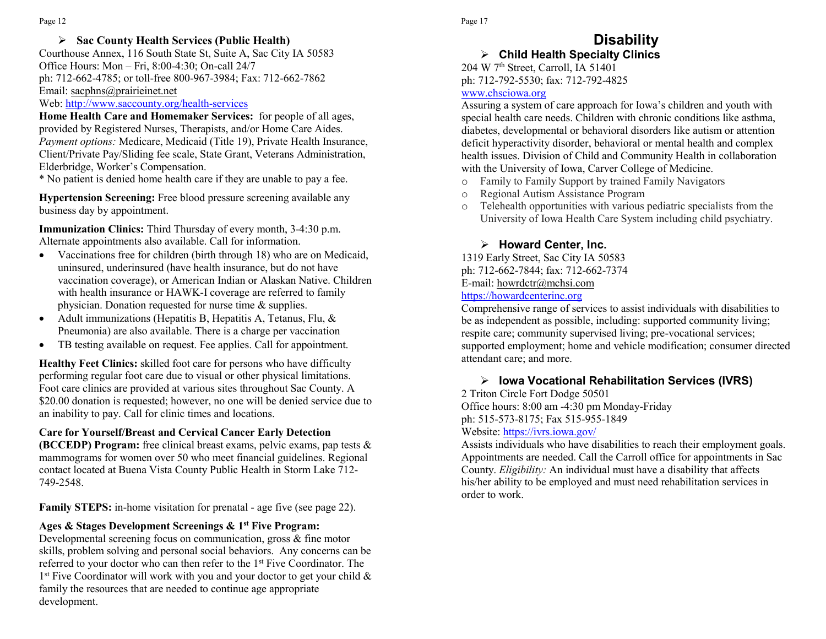#### 

Courthouse Annex, 116 South State St, Suite A, Sac City IA 50583 Office Hours: Mon – Fri, 8:00-4:30; On-call 24/7 ph: 712-662-4785; or toll-free 800-967-3984; Fax: 712-662-7862 Email: sacphns@prairieinet.net

#### Web: http://www.saccounty.org/health-services

 **Home Health Care and Homemaker Services:** for people of all ages, provided by Registered Nurses, Therapists, and/or Home Care Aides. *Payment options:* Medicare, Medicaid (Title 19), Private Health Insurance, Client/Private Pay/Sliding fee scale, State Grant, Veterans Administration, Elderbridge, Worker's Compensation.

\* No patient is denied home health care if they are unable to pay a fee.

**Hypertension Screening:** Free blood pressure screening available any business day by appointment.

**Immunization Clinics:** Third Thursday of every month, 3-4:30 p.m. Alternate appointments also available. Call for information.

- Vaccinations free for children (birth through 18) who are on Medicaid,  $\bullet$ uninsured, underinsured (have health insurance, but do not have vaccination coverage), or American Indian or Alaskan Native. Children with health insurance or HAWK-I coverage are referred to family physician. Donation requested for nurse time & supplies.
- Adult immunizations (Hepatitis B, Hepatitis A, Tetanus, Flu, & Pneumonia) are also available. There is a charge per vaccination
- TB testing available on request. Fee applies. Call for appointment.  $\bullet$

**Healthy Feet Clinics:** skilled foot care for persons who have difficulty performing regular foot care due to visual or other physical limitations. Foot care clinics are provided at various sites throughout Sac County. A \$20.00 donation is requested; however, no one will be denied service due to an inability to pay. Call for clinic times and locations.

#### **Care for Yourself/Breast and Cervical Cancer Early Detection**

 **(BCCEDP) Program:** free clinical breast exams, pelvic exams, pap tests & mammograms for women over 50 who meet financial guidelines. Regional contact located at Buena Vista County Public Health in Storm Lake 712-749-2548.

**Family STEPS:** in-home visitation for prenatal - age five (see page 22).

#### **Ages & Stages Development Screenings & 1st Five Program:**

 Developmental screening focus on communication, gross & fine motor skills, problem solving and personal social behaviors. Any concerns can be referred to your doctor who can then refer to the 1<sup>st</sup> Five Coordinator. The 1<sup>st</sup> Five Coordinator will work with you and your doctor to get your child  $\&$ family the resources that are needed to continue age appropriate development.

### **Disability**

#### **Child Health Specialty Clinics**

204 W 7th Street, Carroll, IA 51401 ph: 712-792-5530; fax: 712-792-4825

#### www.chsciowa.org

 Assuring a system of care approach for Iowa's children and youth with special health care needs. Children with chronic conditions like asthma, diabetes, developmental or behavioral disorders like autism or attention deficit hyperactivity disorder, behavioral or mental health and complex health issues. Division of Child and Community Health in collaboration with the University of Iowa, Carver College of Medicine.

- Family to Family Support by trained Family Navigators o
- oRegional Autism Assistance Program
- $\circ$  Telehealth opportunities with various pediatric specialists from the oUniversity of Iowa Health Care System including child psychiatry.

### **Howard Center, Inc.**

1319 Early Street, Sac City IA 50583 ph: 712-662-7844; fax: 712-662-7374 E-mail: howrdctr@mchsi.com

#### https://howardcenterinc.org

 Comprehensive range of services to assist individuals with disabilities to be as independent as possible, including: supported community living; respite care; community supervised living; pre-vocational services; supported employment; home and vehicle modification; consumer directed attendant care; and more.

### **Iowa Vocational Rehabilitation Services (IVRS)**

2 Triton Circle Fort Dodge 50501 Office hours: 8:00 am -4:30 pm Monday-Friday ph: 515-573-8175; Fax 515-955-1849 Website: https://ivrs.iowa.gov/

 Assists individuals who have disabilities to reach their employment goals. Appointments are needed. Call the Carroll office for appointments in Sac County. *Eligibility:* An individual must have a disability that affects his/her ability to be employed and must need rehabilitation services in order to work.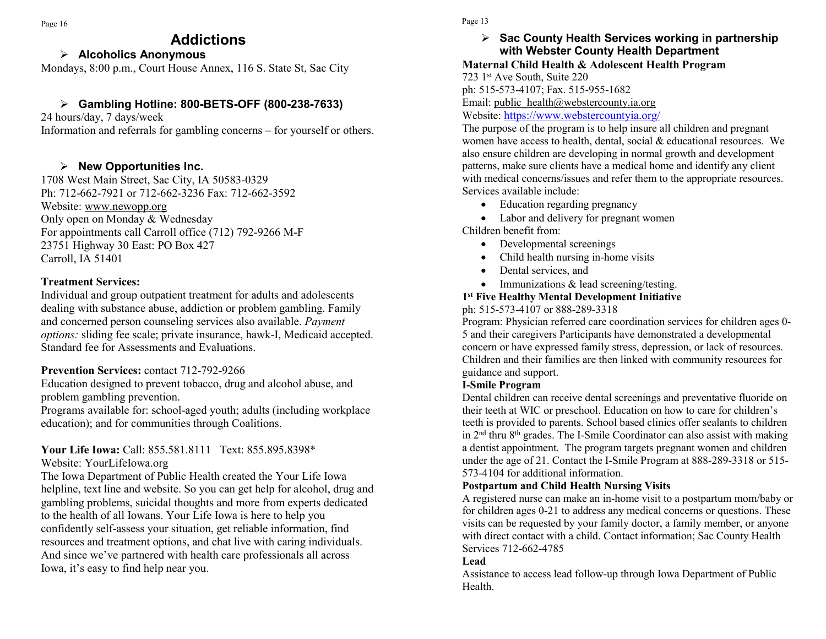#### **Addictions**

#### **Alcoholics Anonymous**

Mondays, 8:00 p.m., Court House Annex, 116 S. State St, Sac City

### **Gambling Hotline: 800-BETS-OFF (800-238-7633)**

24 hours/day, 7 days/week

Information and referrals for gambling concerns – for yourself or others.

### **New Opportunities Inc.**

1708 West Main Street, Sac City, IA 50583-0329 Ph: 712-662-7921 or 712-662-3236 Fax: 712-662-3592 Website: www.newopp.org Only open on Monday & Wednesday For appointments call Carroll office (712) 792-9266 M-F 23751 Highway 30 East: PO Box 427 Carroll, IA 51401

#### **Treatment Services:**

 Individual and group outpatient treatment for adults and adolescents dealing with substance abuse, addiction or problem gambling. Family and concerned person counseling services also available. *Payment options:* sliding fee scale; private insurance, hawk-I, Medicaid accepted. Standard fee for Assessments and Evaluations.

#### **Prevention Services:** contact 712-792-9266

 Education designed to prevent tobacco, drug and alcohol abuse, and problem gambling prevention.

 Programs available for: school-aged youth; adults (including workplace education); and for communities through Coalitions.

#### **Your Life Iowa:** Call: 855.581.8111 Text: 855.895.8398\* Website: YourLifeIowa.org

 The Iowa Department of Public Health created the Your Life Iowa helpline, text line and website. So you can get help for alcohol, drug and gambling problems, suicidal thoughts and more from experts dedicated to the health of all Iowans. Your Life Iowa is here to help you confidently self-assess your situation, get reliable information, find resources and treatment options, and chat live with caring individuals. And since we've partnered with health care professionals all across Iowa, it's easy to find help near you.

Page 16 **Page 16** Page 13 **Page 13** Page 13 **Page 13** Page 13 **Page 13** 

#### **Sac County Health Services working in partnership with Webster County Health Department**

#### **Maternal Child Health & Adolescent Health Program**

723 1st Ave South, Suite 220

ph: 515-573-4107; Fax. 515-955-1682

Email: public\_health@webstercounty.ia.org

#### Website: https://www.webstercountyia.org/

 The purpose of the program is to help insure all children and pregnant women have access to health, dental, social & educational resources. We also ensure children are developing in normal growth and development patterns, make sure clients have a medical home and identify any client with medical concerns/issues and refer them to the appropriate resources. Services available include:

- Education regarding pregnancy
- Labor and delivery for pregnant women

Children benefit from:

- Developmental screenings
- Child health nursing in-home visits
- Dental services, and
- Immunizations & lead screening/testing.

#### **1st Five Healthy Mental Development Initiative**

#### ph: 515-573-4107 or 888-289-3318

 Program: Physician referred care coordination services for children ages 0-5 and their caregivers Participants have demonstrated a developmental concern or have expressed family stress, depression, or lack of resources. Children and their families are then linked with community resources for guidance and support.

#### **I-Smile Program**

 Dental children can receive dental screenings and preventative fluoride on their teeth at WIC or preschool. Education on how to care for children's teeth is provided to parents. School based clinics offer sealants to children in 2nd thru 8th grades. The I-Smile Coordinator can also assist with making a dentist appointment. The program targets pregnant women and children under the age of 21. Contact the I-Smile Program at 888-289-3318 or 515-573-4104 for additional information.

#### **Postpartum and Child Health Nursing Visits**

 A registered nurse can make an in-home visit to a postpartum mom/baby or for children ages 0-21 to address any medical concerns or questions. These visits can be requested by your family doctor, a family member, or anyone with direct contact with a child. Contact information; Sac County Health Services 712-662-4785

#### **Lead**

 Assistance to access lead follow-up through Iowa Department of Public Health.